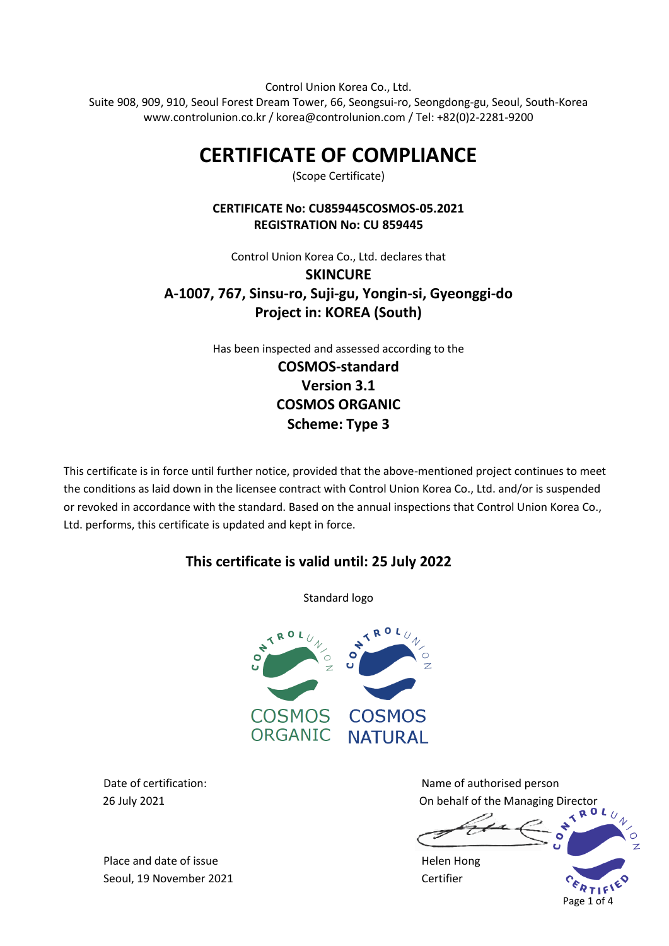Control Union Korea Co., Ltd. Suite 908, 909, 910, Seoul Forest Dream Tower, 66, Seongsui-ro, Seongdong-gu, Seoul, South-Korea www.controlunion.co.kr / korea@controlunion.com / Tel: +82(0)2-2281-9200

# **CERTIFICATE OF COMPLIANCE**

(Scope Certificate)

## **CERTIFICATE No: CU859445COSMOS-05.2021 REGISTRATION No: CU 859445**

# Control Union Korea Co., Ltd. declares that **SKINCURE A-1007, 767, Sinsu-ro, Suji-gu, Yongin-si, Gyeonggi-do Project in: KOREA (South)**

Has been inspected and assessed according to the **COSMOS-standard Version 3.1 COSMOS ORGANIC Scheme: Type 3**

This certificate is in force until further notice, provided that the above-mentioned project continues to meet the conditions as laid down in the licensee contract with Control Union Korea Co., Ltd. and/or is suspended or revoked in accordance with the standard. Based on the annual inspections that Control Union Korea Co., Ltd. performs, this certificate is updated and kept in force.

# **This certificate is valid until: 25 July 2022**

Standard logo



Date of certification: Name of authorised person 26 July 2021 On behalf of the Managing Director

Page 1 of 4

Place and date of issue **Helen Hong** Seoul, 19 November 2021 Certifier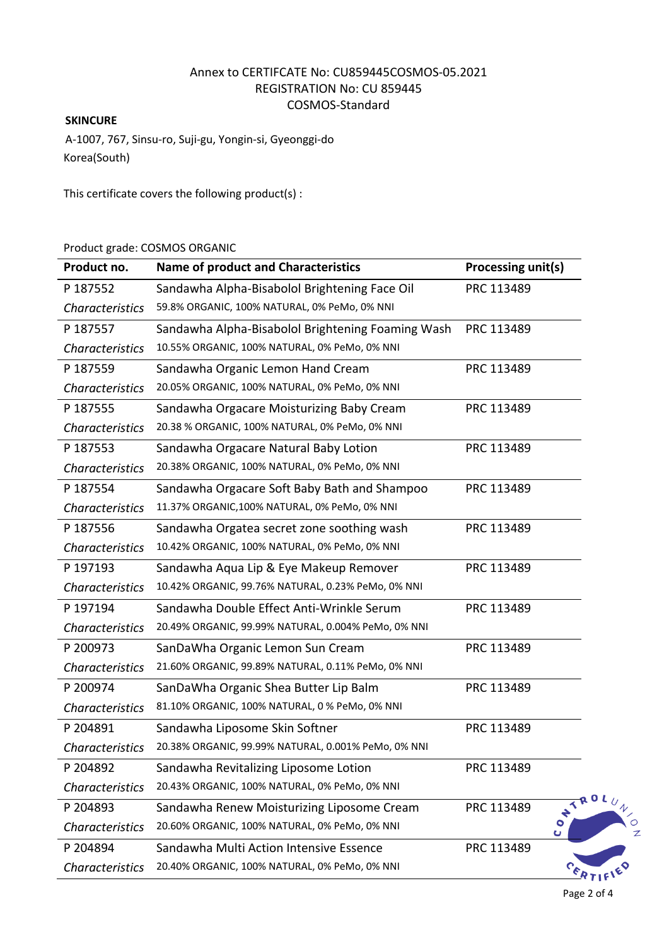## Annex to CERTIFCATE No: CU859445COSMOS-05.2021 REGISTRATION No: CU 859445 COSMOS-Standard

#### **SKINCURE**

A-1007, 767, Sinsu-ro, Suji-gu, Yongin-si, Gyeonggi-do Korea(South)

This certificate covers the following product(s) :

#### Product grade: COSMOS ORGANIC

| Product no.            | <b>Name of product and Characteristics</b>          | Processing unit(s) |        |
|------------------------|-----------------------------------------------------|--------------------|--------|
| P 187552               | Sandawha Alpha-Bisabolol Brightening Face Oil       | PRC 113489         |        |
| Characteristics        | 59.8% ORGANIC, 100% NATURAL, 0% PeMo, 0% NNI        |                    |        |
| P 187557               | Sandawha Alpha-Bisabolol Brightening Foaming Wash   | PRC 113489         |        |
| Characteristics        | 10.55% ORGANIC, 100% NATURAL, 0% PeMo, 0% NNI       |                    |        |
| P 187559               | Sandawha Organic Lemon Hand Cream                   | PRC 113489         |        |
| Characteristics        | 20.05% ORGANIC, 100% NATURAL, 0% PeMo, 0% NNI       |                    |        |
| P 187555               | Sandawha Orgacare Moisturizing Baby Cream           | PRC 113489         |        |
| <b>Characteristics</b> | 20.38 % ORGANIC, 100% NATURAL, 0% PeMo, 0% NNI      |                    |        |
| P 187553               | Sandawha Orgacare Natural Baby Lotion               | PRC 113489         |        |
| Characteristics        | 20.38% ORGANIC, 100% NATURAL, 0% PeMo, 0% NNI       |                    |        |
| P 187554               | Sandawha Orgacare Soft Baby Bath and Shampoo        | PRC 113489         |        |
| <b>Characteristics</b> | 11.37% ORGANIC, 100% NATURAL, 0% PeMo, 0% NNI       |                    |        |
| P 187556               | Sandawha Orgatea secret zone soothing wash          | PRC 113489         |        |
| <b>Characteristics</b> | 10.42% ORGANIC, 100% NATURAL, 0% PeMo, 0% NNI       |                    |        |
| P 197193               | Sandawha Aqua Lip & Eye Makeup Remover              | PRC 113489         |        |
| <b>Characteristics</b> | 10.42% ORGANIC, 99.76% NATURAL, 0.23% PeMo, 0% NNI  |                    |        |
| P 197194               | Sandawha Double Effect Anti-Wrinkle Serum           | PRC 113489         |        |
| <b>Characteristics</b> | 20.49% ORGANIC, 99.99% NATURAL, 0.004% PeMo, 0% NNI |                    |        |
| P 200973               | SanDaWha Organic Lemon Sun Cream                    | PRC 113489         |        |
| <b>Characteristics</b> | 21.60% ORGANIC, 99.89% NATURAL, 0.11% PeMo, 0% NNI  |                    |        |
| P 200974               | SanDaWha Organic Shea Butter Lip Balm               | PRC 113489         |        |
| <b>Characteristics</b> | 81.10% ORGANIC, 100% NATURAL, 0 % PeMo, 0% NNI      |                    |        |
| P 204891               | Sandawha Liposome Skin Softner                      | PRC 113489         |        |
| <b>Characteristics</b> | 20.38% ORGANIC, 99.99% NATURAL, 0.001% PeMo, 0% NNI |                    |        |
| P 204892               | Sandawha Revitalizing Liposome Lotion               | PRC 113489         |        |
| <b>Characteristics</b> | 20.43% ORGANIC, 100% NATURAL, 0% PeMo, 0% NNI       |                    |        |
| P 204893               | Sandawha Renew Moisturizing Liposome Cream          | PRC 113489         | ONTROL |
| <b>Characteristics</b> | 20.60% ORGANIC, 100% NATURAL, 0% PeMo, 0% NNI       |                    | Ü      |
| P 204894               | Sandawha Multi Action Intensive Essence             | PRC 113489         |        |
| <b>Characteristics</b> | 20.40% ORGANIC, 100% NATURAL, 0% PeMo, 0% NNI       |                    |        |

Page 2 of 4

UNION

1 ED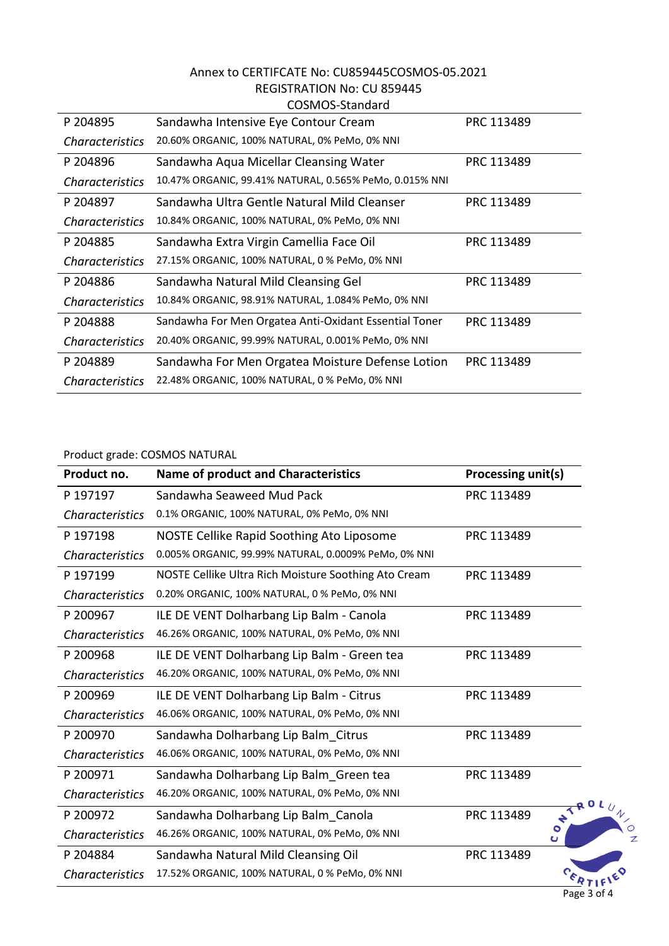#### Annex to CERTIFCATE No: CU859445COSMOS-05.2021 REGISTRATION No: CU 859445 COSMOS-Standard

|                        | uuunuu-Juuluu                                           |            |
|------------------------|---------------------------------------------------------|------------|
| P 204895               | Sandawha Intensive Eye Contour Cream                    | PRC 113489 |
| <b>Characteristics</b> | 20.60% ORGANIC, 100% NATURAL, 0% PeMo, 0% NNI           |            |
| P 204896               | Sandawha Aqua Micellar Cleansing Water                  | PRC 113489 |
| <b>Characteristics</b> | 10.47% ORGANIC, 99.41% NATURAL, 0.565% PeMo, 0.015% NNI |            |
| P 204897               | Sandawha Ultra Gentle Natural Mild Cleanser             | PRC 113489 |
| <b>Characteristics</b> | 10.84% ORGANIC, 100% NATURAL, 0% PeMo, 0% NNI           |            |
| P 204885               | Sandawha Extra Virgin Camellia Face Oil                 | PRC 113489 |
| <b>Characteristics</b> | 27.15% ORGANIC, 100% NATURAL, 0 % PeMo, 0% NNI          |            |
| P 204886               | Sandawha Natural Mild Cleansing Gel                     | PRC 113489 |
| <b>Characteristics</b> | 10.84% ORGANIC, 98.91% NATURAL, 1.084% PeMo, 0% NNI     |            |
| P 204888               | Sandawha For Men Orgatea Anti-Oxidant Essential Toner   | PRC 113489 |
| <b>Characteristics</b> | 20.40% ORGANIC, 99.99% NATURAL, 0.001% PeMo, 0% NNI     |            |
| P 204889               | Sandawha For Men Orgatea Moisture Defense Lotion        | PRC 113489 |
| Characteristics        | 22.48% ORGANIC, 100% NATURAL, 0 % PeMo, 0% NNI          |            |

#### Product grade: COSMOS NATURAL

| Product no.            | <b>Name of product and Characteristics</b>           | Processing unit(s)      |
|------------------------|------------------------------------------------------|-------------------------|
| P 197197               | Sandawha Seaweed Mud Pack                            | PRC 113489              |
| <b>Characteristics</b> | 0.1% ORGANIC, 100% NATURAL, 0% PeMo, 0% NNI          |                         |
| P 197198               | NOSTE Cellike Rapid Soothing Ato Liposome            | PRC 113489              |
| <b>Characteristics</b> | 0.005% ORGANIC, 99.99% NATURAL, 0.0009% PeMo, 0% NNI |                         |
| P 197199               | NOSTE Cellike Ultra Rich Moisture Soothing Ato Cream | PRC 113489              |
| <b>Characteristics</b> | 0.20% ORGANIC, 100% NATURAL, 0 % PeMo, 0% NNI        |                         |
| P 200967               | ILE DE VENT Dolharbang Lip Balm - Canola             | PRC 113489              |
| <b>Characteristics</b> | 46.26% ORGANIC, 100% NATURAL, 0% PeMo, 0% NNI        |                         |
| P 200968               | ILE DE VENT Dolharbang Lip Balm - Green tea          | PRC 113489              |
| <b>Characteristics</b> | 46.20% ORGANIC, 100% NATURAL, 0% PeMo, 0% NNI        |                         |
| P 200969               | ILE DE VENT Dolharbang Lip Balm - Citrus             | PRC 113489              |
| <b>Characteristics</b> | 46.06% ORGANIC, 100% NATURAL, 0% PeMo, 0% NNI        |                         |
| P 200970               | Sandawha Dolharbang Lip Balm Citrus                  | PRC 113489              |
| <b>Characteristics</b> | 46.06% ORGANIC, 100% NATURAL, 0% PeMo, 0% NNI        |                         |
| P 200971               | Sandawha Dolharbang Lip Balm Green tea               | PRC 113489              |
| <b>Characteristics</b> | 46.20% ORGANIC, 100% NATURAL, 0% PeMo, 0% NNI        | <b>Q</b> 0              |
| P 200972               | Sandawha Dolharbang Lip Balm Canola                  | $\star^4$<br>PRC 113489 |
| <b>Characteristics</b> | 46.26% ORGANIC, 100% NATURAL, 0% PeMo, 0% NNI        |                         |
| P 204884               | Sandawha Natural Mild Cleansing Oil                  | PRC 113489              |
| <b>Characteristics</b> | 17.52% ORGANIC, 100% NATURAL, 0 % PeMo, 0% NNI       |                         |

Page 3 of 4

 $\circ$  $\mathbb{Z}$